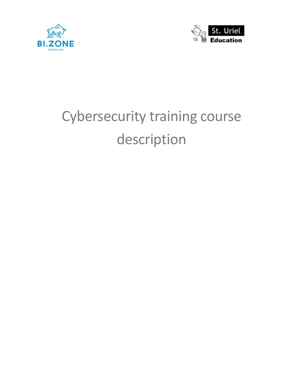



# Cybersecurity training course description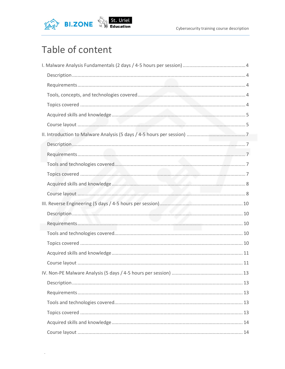

## Table of content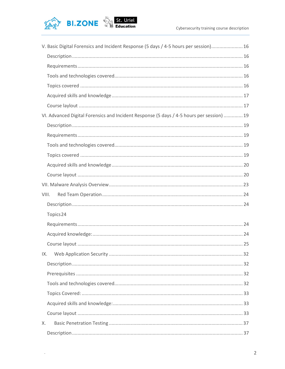



 $\cdot$ 

| V. Basic Digital Forensics and Incident Response (5 days / 4-5 hours per session) 16      |  |
|-------------------------------------------------------------------------------------------|--|
|                                                                                           |  |
|                                                                                           |  |
|                                                                                           |  |
|                                                                                           |  |
|                                                                                           |  |
|                                                                                           |  |
| VI. Advanced Digital Forensics and Incident Response (5 days / 4-5 hours per session)  19 |  |
|                                                                                           |  |
|                                                                                           |  |
|                                                                                           |  |
|                                                                                           |  |
|                                                                                           |  |
|                                                                                           |  |
|                                                                                           |  |
| VIII.                                                                                     |  |
|                                                                                           |  |
| Topics 24                                                                                 |  |
|                                                                                           |  |
|                                                                                           |  |
|                                                                                           |  |
| IX.                                                                                       |  |
|                                                                                           |  |
|                                                                                           |  |
|                                                                                           |  |
|                                                                                           |  |
|                                                                                           |  |
|                                                                                           |  |
|                                                                                           |  |
| Х.                                                                                        |  |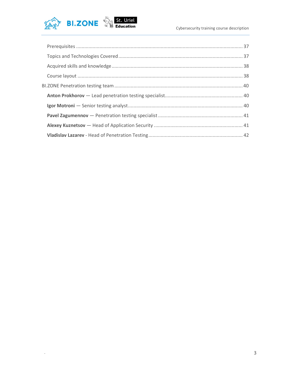

 $\cdot$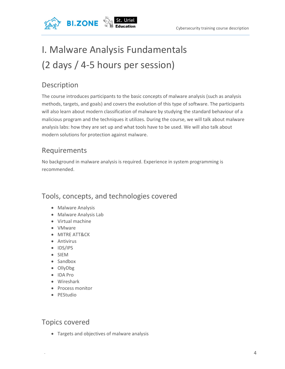

## I. Malware Analysis Fundamentals (2 days / 4-5 hours per session)

## Description

The course introduces participants to the basic concepts of malware analysis (such as analysis methods, targets, and goals) and covers the evolution of this type of software. The participants will also learn about modern classification of malware by studying the standard behaviour of a malicious program and the techniques it utilizes. During the course, we will talk about malware analysis labs: how they are set up and what tools have to be used. We will also talk about modern solutions for protection against malware.

### Requirements

No background in malware analysis is required. Experience in system programming is recommended.

### Tools, concepts, and technologies covered

- Malware Analysis
- Malware Analysis Lab
- Virtual machine
- VMware
- MITRE ATT&CK
- Antivirus
- IDS/IPS
- SIEM
- Sandbox
- OllyDbg
- IDA Pro
- Wireshark
- Process monitor
- PEStudio

### Topics covered

Targets and objectives of malware analysis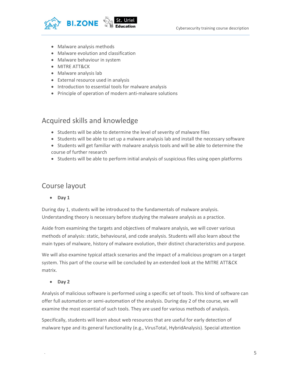

- Malware analysis methods
- Malware evolution and classification
- Malware behaviour in system
- MITRE ATT&CK
- Malware analysis lab
- External resource used in analysis
- Introduction to essential tools for malware analysis
- Principle of operation of modern anti-malware solutions

#### Acquired skills and knowledge

- Students will be able to determine the level of severity of malware files
- Students will be able to set up a malware analysis lab and install the necessary software
- Students will get familiar with malware analysis tools and will be able to determine the course of further research
- Students will be able to perform initial analysis of suspicious files using open platforms

#### Course layout

Day 1

During day 1, students will be introduced to the fundamentals of malware analysis. Understanding theory is necessary before studying the malware analysis as a practice.

Aside from examining the targets and objectives of malware analysis, we will cover various methods of analysis: static, behavioural, and code analysis. Students will also learn about the main types of malware, history of malware evolution, their distinct characteristics and purpose.

We will also examine typical attack scenarios and the impact of a malicious program on a target system. This part of the course will be concluded by an extended look at the MITRE ATT&CK matrix.

• Day 2

Analysis of malicious software is performed using a specific set of tools. This kind of software can offer full automation or semi-automation of the analysis. During day 2 of the course, we will examine the most essential of such tools. They are used for various methods of analysis.

Specifically, students will learn about web resources that are useful for early detection of malware type and its general functionality (e.g., VirusTotal, HybridAnalysis). Special attention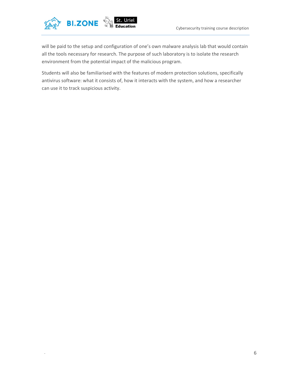

will be paid to the setup and configuration of one's own malware analysis lab that would contain all the tools necessary for research. The purpose of such laboratory is to isolate the research environment from the potential impact of the malicious program.

Students will also be familiarised with the features of modern protection solutions, specifically antivirus software: what it consists of, how it interacts with the system, and how a researcher can use it to track suspicious activity.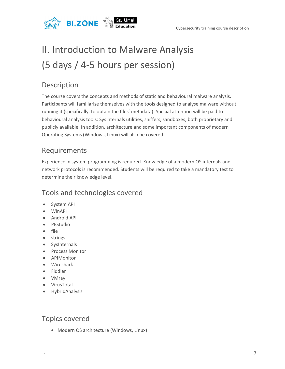

## II. Introduction to Malware Analysis (5 days / 4-5 hours per session)

## Description

The course covers the concepts and methods of static and behavioural malware analysis. Participants will familiarise themselves with the tools designed to analyse malware without running it (specifically, to obtain the files' metadata). Special attention will be paid to behavioural analysis tools: SysInternals utilities, sniffers, sandboxes, both proprietary and publicly available. In addition, architecture and some important components of modern Operating Systems (Windows, Linux) will also be covered.

## Requirements

Experience in system programming is required. Knowledge of a modern OS internals and network protocols is recommended. Students will be required to take a mandatory test to determine their knowledge level.

## Tools and technologies covered

- System API
- WinAPI
- Android API
- PEStudio
- file
- strings
- SysInternals
- Process Monitor
- APIMonitor
- Wireshark
- Fiddler
- VMray
- VirusTotal
- HybridAnalysis

### Topics covered

Modern OS architecture (Windows, Linux)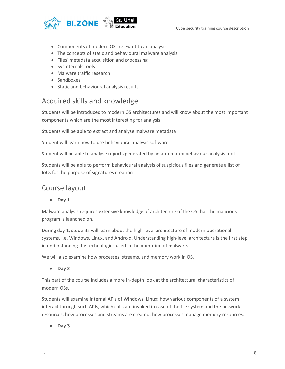

- Components of modern OSs relevant to an analysis
- The concepts of static and behavioural malware analysis
- Files' metadata acquisition and processing
- SysInternals tools
- Malware traffic research
- Sandboxes
- Static and behavioural analysis results

#### Acquired skills and knowledge

Students will be introduced to modern OS architectures and will know about the most important components which are the most interesting for analysis

Students will be able to extract and analyse malware metadata

Student will learn how to use behavioural analysis software

Student will be able to analyse reports generated by an automated behaviour analysis tool

Students will be able to perform behavioural analysis of suspicious files and generate a list of IoCs for the purpose of signatures creation

#### Course layout

• Day 1

Malware analysis requires extensive knowledge of architecture of the OS that the malicious program is launched on.

During day 1, students will learn about the high-level architecture of modern operational systems, i.e. Windows, Linux, and Android. Understanding high-level architecture is the first step in understanding the technologies used in the operation of malware.

We will also examine how processes, streams, and memory work in OS.

• Day 2

This part of the course includes a more in-depth look at the architectural characteristics of modern OSs.

Students will examine internal APIs of Windows, Linux: how various components of a system interact through such APIs, which calls are invoked in case of the file system and the network resources, how processes and streams are created, how processes manage memory resources.

Day 3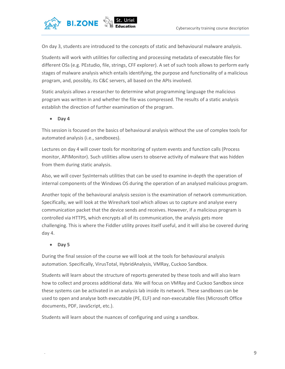

On day 3, students are introduced to the concepts of static and behavioural malware analysis.

Students will work with utilities for collecting and processing metadata of executable files for different OSs (e.g. PEstudio, file, strings, CFF explorer). A set of such tools allows to perform early stages of malware analysis which entails identifying, the purpose and functionality of a malicious program, and, possibly, its C&C servers, all based on the APIs involved.

Static analysis allows a researcher to determine what programming language the malicious program was written in and whether the file was compressed. The results of a static analysis establish the direction of further examination of the program.

• Day 4

This session is focused on the basics of behavioural analysis without the use of complex tools for automated analysis (i.e., sandboxes).

Lectures on day 4 will cover tools for monitoring of system events and function calls (Process monitor, APIMonitor). Such utilities allow users to observe activity of malware that was hidden from them during static analysis.

Also, we will cover SysInternals utilities that can be used to examine in-depth the operation of internal components of the Windows OS during the operation of an analysed malicious program.

Another topic of the behavioural analysis session is the examination of network communication. Specifically, we will look at the Wireshark tool which allows us to capture and analyse every communication packet that the device sends and receives. However, if a malicious program is controlled via HTTPS, which encrypts all of its communication, the analysis gets more challenging. This is where the Fiddler utility proves itself useful, and it will also be covered during day 4.

Day 5

During the final session of the course we will look at the tools for behavioural analysis automation. Specifically, VirusTotal, HybridAnalysis, VMRay, Cuckoo Sandbox.

Students will learn about the structure of reports generated by these tools and will also learn how to collect and process additional data. We will focus on VMRay and Cuckoo Sandbox since these systems can be activated in an analysis lab inside its network. These sandboxes can be used to open and analyse both executable (PE, ELF) and non-executable files (Microsoft Office documents, PDF, JavaScript, etc.).

Students will learn about the nuances of configuring and using a sandbox.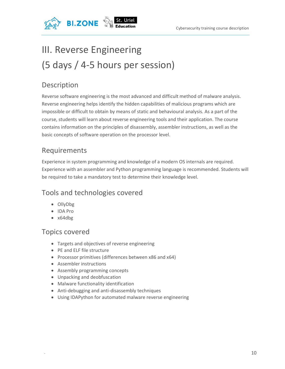

## III. Reverse Engineering (5 days / 4-5 hours per session)

## Description

Reverse software engineering is the most advanced and difficult method of malware analysis. Reverse engineering helps identify the hidden capabilities of malicious programs which are impossible or difficult to obtain by means of static and behavioural analysis. As a part of the course, students will learn about reverse engineering tools and their application. The course contains information on the principles of disassembly, assembler instructions, as well as the basic concepts of software operation on the processor level.

## Requirements

Experience in system programming and knowledge of a modern OS internals are required. Experience with an assembler and Python programming language is recommended. Students will be required to take a mandatory test to determine their knowledge level.

### Tools and technologies covered

- OllyDbg
- IDA Pro
- x64dbg

### Topics covered

- Targets and objectives of reverse engineering
- PE and ELF file structure
- Processor primitives (differences between x86 and x64)
- Assembler instructions
- Assembly programming concepts
- Unpacking and deobfuscation
- Malware functionality identification
- Anti-debugging and anti-disassembly techniques
- Using IDAPython for automated malware reverse engineering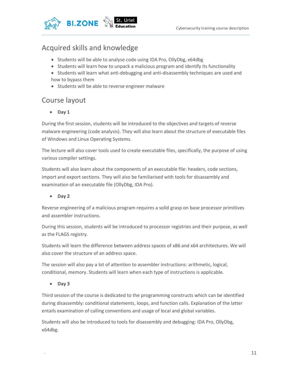

### Acquired skills and knowledge

- Students will be able to analyse code using IDA Pro, OllyDbg, x64dbg
- Students will learn how to unpack a malicious program and identify its functionality
- Students will learn what anti-debugging and anti-disassembly techniques are used and how to bypass them
- Students will be able to reverse engineer malware

### Course layout

• Day 1

During the first session, students will be introduced to the objectives and targets of reverse malware engineering (code analysis). They will also learn about the structure of executable files of Windows and Linux Operating Systems.

The lecture will also cover tools used to create executable files, specifically, the purpose of using various compiler settings.

Students will also learn about the components of an executable file: headers, code sections, import and export sections. They will also be familiarised with tools for disassembly and examination of an executable file (OllyDbg, IDA Pro).

• Day 2

Reverse engineering of a malicious program requires a solid grasp on base processor primitives and assembler instructions.

During this session, students will be introduced to processor registries and their purpose, as well as the FLAGS registry.

Students will learn the difference between address spaces of x86 and x64 architectures. We will also cover the structure of an address space.

The session will also pay a lot of attention to assembler instructions: arithmetic, logical, conditional, memory. Students will learn when each type of instructions is applicable.

• Day 3

Third session of the course is dedicated to the programming constructs which can be identified during disassembly: conditional statements, loops, and function calls. Explanation of the latter entails examination of calling conventions and usage of local and global variables.

Students will also be introduced to tools for disassembly and debugging: IDA Pro, OllyDbg, x64dbg.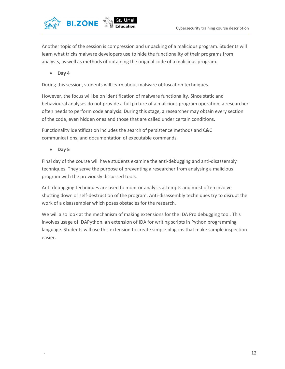

Another topic of the session is compression and unpacking of a malicious program. Students will learn what tricks malware developers use to hide the functionality of their programs from analysts, as well as methods of obtaining the original code of a malicious program.

Day 4

During this session, students will learn about malware obfuscation techniques.

However, the focus will be on identification of malware functionality. Since static and behavioural analyses do not provide a full picture of a malicious program operation, a researcher often needs to perform code analysis. During this stage, a researcher may obtain every section of the code, even hidden ones and those that are called under certain conditions.

Functionality identification includes the search of persistence methods and C&C communications, and documentation of executable commands.

 $\bullet$  Day 5

Final day of the course will have students examine the anti-debugging and anti-disassembly techniques. They serve the purpose of preventing a researcher from analysing a malicious program with the previously discussed tools.

Anti-debugging techniques are used to monitor analysis attempts and most often involve shutting down or self-destruction of the program. Anti-disassembly techniques try to disrupt the work of a disassembler which poses obstacles for the research.

We will also look at the mechanism of making extensions for the IDA Pro debugging tool. This involves usage of IDAPython, an extension of IDA for writing scripts in Python programming language. Students will use this extension to create simple plug-ins that make sample inspection easier.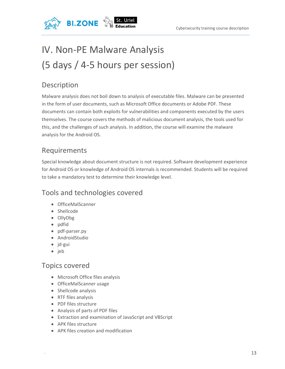

## IV. Non-PE Malware Analysis (5 days / 4-5 hours per session)

## Description

Malware analysis does not boil down to analysis of executable files. Malware can be presented in the form of user documents, such as Microsoft Office documents or Adobe PDF. These documents can contain both exploits for vulnerabilities and components executed by the users themselves. The course covers the methods of malicious document analysis, the tools used for this, and the challenges of such analysis. In addition, the course will examine the malware analysis for the Android OS.

## Requirements

Special knowledge about document structure is not required. Software development experience for Android OS or knowledge of Android OS internals is recommended. Students will be required to take a mandatory test to determine their knowledge level.

## Tools and technologies covered

- OfficeMalScanner
- Shellcode
- OllyDbg
- pdfid
- pdf-parser.py
- AndroidStudio
- $\bullet$  jd-gui
- jeb

#### Topics covered

- Microsoft Office files analysis
- OfficeMalScanner usage
- Shellcode analysis
- RTF files analysis
- PDF files structure
- Analysis of parts of PDF files
- Extraction and examination of JavaScript and VBScript
- APK files structure
- APK files creation and modification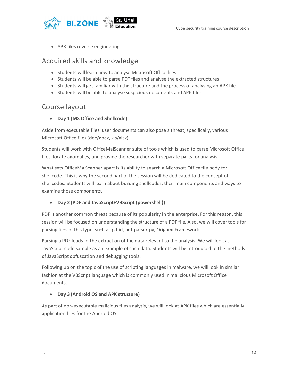

APK files reverse engineering

#### Acquired skills and knowledge

- Students will learn how to analyse Microsoft Office files
- Students will be able to parse PDF files and analyse the extracted structures
- Students will get familiar with the structure and the process of analysing an APK file
- Students will be able to analyse suspicious documents and APK files

#### Course layout

Day 1 (MS Office and Shellcode)

Aside from executable files, user documents can also pose a threat, specifically, various Microsoft Office files (doc/docx, xls/xlsx).

Students will work with OfficeMalScanner suite of tools which is used to parse Microsoft Office files, locate anomalies, and provide the researcher with separate parts for analysis.

What sets OfficeMalScanner apart is its ability to search a Microsoft Office file body for shellcode. This is why the second part of the session will be dedicated to the concept of shellcodes. Students will learn about building shellcodes, their main components and ways to examine those components.

#### Day 2 (PDF and JavaScript+VBScript (powershell))

PDF is another common threat because of its popularity in the enterprise. For this reason, this session will be focused on understanding the structure of a PDF file. Also, we will cover tools for parsing files of this type, such as pdfid, pdf-parser.py, Origami Framework.

Parsing a PDF leads to the extraction of the data relevant to the analysis. We will look at JavaScript code sample as an example of such data. Students will be introduced to the methods of JavaScript obfuscation and debugging tools.

Following up on the topic of the use of scripting languages in malware, we will look in similar fashion at the VBScript language which is commonly used in malicious Microsoft Office documents.

#### Day 3 (Android OS and APK structure)

As part of non-executable malicious files analysis, we will look at APK files which are essentially application files for the Android OS.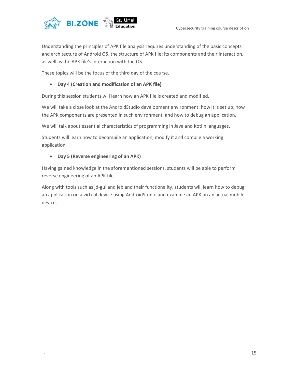

Understanding the principles of APK file analysis requires understanding of the basic concepts and architecture of Android OS, the structure of APK file: its components and their interaction, as well as the APK file's interaction with the OS.

These topics will be the focus of the third day of the course.

#### Day 4 (Creation and modification of an APK file)

During this session students will learn how an APK file is created and modified.

We will take a close look at the AndroidStudio development environment: how it is set up, how the APK components are presented in such environment, and how to debug an application.

We will talk about essential characteristics of programming in Java and Kotlin languages.

Students will learn how to decompile an application, modify it and compile a working application.

#### Day 5 (Reverse engineering of an APK)

Having gained knowledge in the aforementioned sessions, students will be able to perform reverse engineering of an APK file.

Along with tools such as jd-gui and jeb and their functionality, students will learn how to debug an application on a virtual device using AndroidStudio and examine an APK on an actual mobile device.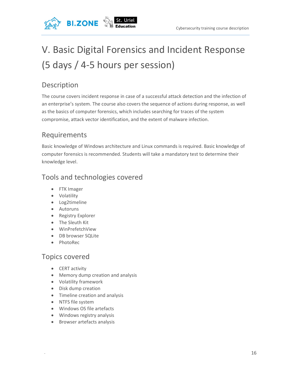

## V. Basic Digital Forensics and Incident Response (5 days / 4-5 hours per session)

## Description

The course covers incident response in case of a successful attack detection and the infection of an enterprise's system. The course also covers the sequence of actions during response, as well as the basics of computer forensics, which includes searching for traces of the system compromise, attack vector identification, and the extent of malware infection.

## Requirements

Basic knowledge of Windows architecture and Linux commands is required. Basic knowledge of computer forensics is recommended. Students will take a mandatory test to determine their knowledge level.

### Tools and technologies covered

- FTK Imager
- Volatility
- Log2timeline
- Autoruns
- Registry Explorer
- The Sleuth Kit
- WinPrefetchView
- DB browser SQLite
- PhotoRec

#### Topics covered

- CERT activity
- Memory dump creation and analysis
- Volatility framework
- Disk dump creation
- Timeline creation and analysis
- NTFS file system
- Windows OS file artefacts
- Windows registry analysis
- **•** Browser artefacts analysis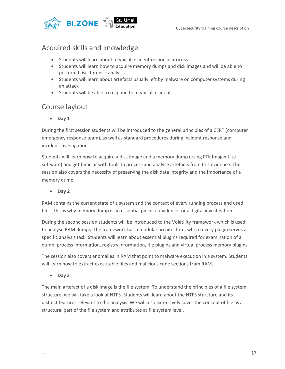

### Acquired skills and knowledge

- Students will learn about a typical incident response process
- Students will learn how to acquire memory dumps and disk images and will be able to perform basic forensic analysis
- Students will learn about artefacts usually left by malware on computer systems during an attack
- Students will be able to respond to a typical incident

#### Course laylout

• Day 1

During the first session students will be introduced to the general principles of a CERT (computer emergency response team), as well as standard procedures during incident response and incident investigation.

Students will learn how to acquire a disk image and a memory dump (using FTK Imager Lite software) and get familiar with tools to process and analyse artefacts from this evidence. The session also covers the necessity of preserving the disk data integrity and the importance of a memory dump.

Day 2

RAM contains the current state of a system and the context of every running process and used files. This is why memory dump is an essential piece of evidence for a digital investigation.

During the second session students will be introduced to the Volatility framework which is used to analyse RAM dumps. The framework has a modular architecture, where every plugin serves a specific analysis task. Students will learn about essential plugins required for examination of a dump: process information, registry information, file plugins and virtual process memory plugins.

The session also covers anomalies in RAM that point to malware execution in a system. Students will learn how to extract executable files and malicious code sections from RAM.

• Day 3

The main artefact of a disk image is the file system. To understand the principles of a file system structure, we will take a look at NTFS. Students will learn about the NTFS structure and its distinct features relevant to the analysis. We will also extensively cover the concept of file as a structural part of the file system and attributes at file system level.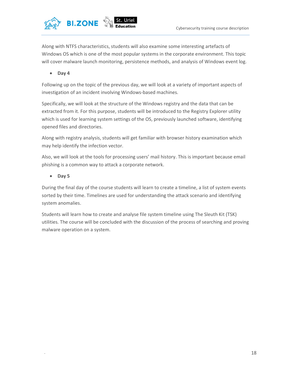

Along with NTFS characteristics, students will also examine some interesting artefacts of Windows OS which is one of the most popular systems in the corporate environment. This topic will cover malware launch monitoring, persistence methods, and analysis of Windows event log.

Day 4

Following up on the topic of the previous day, we will look at a variety of important aspects of investigation of an incident involving Windows-based machines.

Specifically, we will look at the structure of the Windows registry and the data that can be extracted from it. For this purpose, students will be introduced to the Registry Explorer utility which is used for learning system settings of the OS, previously launched software, identifying opened files and directories.

Along with registry analysis, students will get familiar with browser history examination which may help identify the infection vector.

Also, we will look at the tools for processing users' mail history. This is important because email phishing is a common way to attack a corporate network.

• Day 5

During the final day of the course students will learn to create a timeline, a list of system events sorted by their time. Timelines are used for understanding the attack scenario and identifying system anomalies.

Students will learn how to create and analyse file system timeline using The Sleuth Kit (TSK) utilities. The course will be concluded with the discussion of the process of searching and proving malware operation on a system.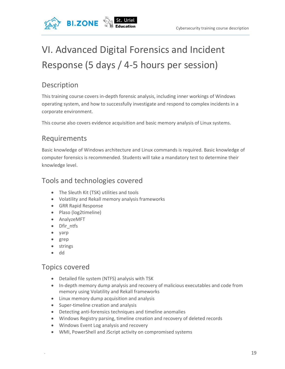

## VI. Advanced Digital Forensics and Incident Response (5 days / 4-5 hours per session)

## Description

This training course covers in-depth forensic analysis, including inner workings of Windows operating system, and how to successfully investigate and respond to complex incidents in a corporate environment.

This course also covers evidence acquisition and basic memory analysis of Linux systems.

### Requirements

Basic knowledge of Windows architecture and Linux commands is required. Basic knowledge of computer forensics is recommended. Students will take a mandatory test to determine their knowledge level.

### Tools and technologies covered

- The Sleuth Kit (TSK) utilities and tools
- Volatility and Rekall memory analysis frameworks
- **GRR Rapid Response**
- Plaso (log2timeline)
- AnalyzeMFT
- Dfir\_ntfs
- yarp
- grep
- strings
- dd

#### Topics covered

- Detailed file system (NTFS) analysis with TSK
- In-depth memory dump analysis and recovery of malicious executables and code from memory using Volatility and Rekall frameworks
- Linux memory dump acquisition and analysis
- Super-timeline creation and analysis
- Detecting anti-forensics techniques and timeline anomalies
- Windows Registry parsing, timeline creation and recovery of deleted records
- Windows Event Log analysis and recovery
- WMI, PowerShell and JScript activity on compromised systems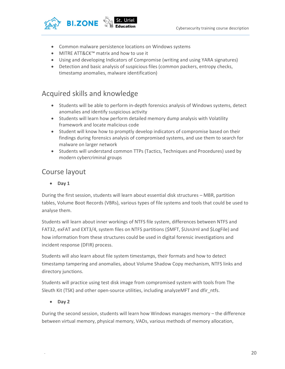

- Common malware persistence locations on Windows systems
- MITRE ATT&CK™ matrix and how to use it
- Using and developing Indicators of Compromise (writing and using YARA signatures)
- Detection and basic analysis of suspicious files (common packers, entropy checks, timestamp anomalies, malware identification)

#### Acquired skills and knowledge

- Students will be able to perform in-depth forensics analysis of Windows systems, detect anomalies and identify suspicious activity
- Students will learn how perform detailed memory dump analysis with Volatility framework and locate malicious code
- Student will know how to promptly develop indicators of compromise based on their findings during forensics analysis of compromised systems, and use them to search for malware on larger network
- Students will understand common TTPs (Tactics, Techniques and Procedures) used by modern cybercriminal groups

#### Course layout

• Day 1

During the first session, students will learn about essential disk structures – MBR, partition tables, Volume Boot Records (VBRs), various types of file systems and tools that could be used to analyse them.

Students will learn about inner workings of NTFS file system, differences between NTFS and FAT32, exFAT and EXT3/4, system files on NTFS partitions (\$MFT, \$UsnJrnl and \$LogFile) and how information from these structures could be used in digital forensic investigations and incident response (DFIR) process.

Students will also learn about file system timestamps, their formats and how to detect timestamp tampering and anomalies, about Volume Shadow Copy mechanism, NTFS links and directory junctions.

Students will practice using test disk image from compromised system with tools from The Sleuth Kit (TSK) and other open-source utilities, including analyzeMFT and dfir\_ntfs.

#### • Day 2

During the second session, students will learn how Windows manages memory – the difference between virtual memory, physical memory, VADs, various methods of memory allocation,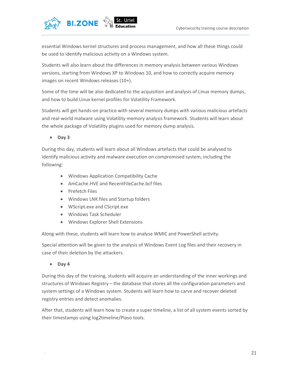

essential Windows kernel structures and process management, and how all these things could be used to identify malicious activity on a Windows system.

Students will also learn about the differences in memory analysis between various Windows versions, starting from Windows XP to Windows 10, and how to correctly acquire memory images on recent Windows releases (10+).

Some of the time will be also dedicated to the acquisition and analysis of Linux memory dumps, and how to build Linux kernel profiles for Volatility Framework.

Students will get hands-on practice with several memory dumps with various malicious artefacts and real-world malware using Volatility memory analysis framework. Students will learn about the whole package of Volatility plugins used for memory dump analysis.

• Day 3

During this day, students will learn about all Windows artefacts that could be analysed to identify malicious activity and malware execution on compromised system, including the following:

- Windows Application Compatibility Cache
- AmCache.HVE and RecentFileCache.bcf files
- Prefetch Files
- Windows LNK files and Startup folders
- WScript.exe and CScript.exe
- Windows Task Scheduler
- Windows Explorer Shell Extensions

Along with these, students will learn how to analyse WMIC and PowerShell activity.

Special attention will be given to the analysis of Windows Event Log files and their recovery in case of their deletion by the attackers.

Day 4

During this day of the training, students will acquire an understanding of the inner workings and structures of Windows Registry – the database that stores all the configuration parameters and system settings of a Windows system. Students will learn how to carve and recover deleted registry entries and detect anomalies.

After that, students will learn how to create a super timeline, a list of all system events sorted by their timestamps using log2timeline/Plaso tools.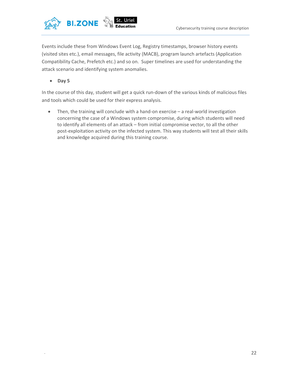

Events include these from Windows Event Log, Registry timestamps, browser history events (visited sites etc.), email messages, file activity (MACB), program launch artefacts (Application Compatibility Cache, Prefetch etc.) and so on. Super timelines are used for understanding the attack scenario and identifying system anomalies.

 $-$  Day 5

In the course of this day, student will get a quick run-down of the various kinds of malicious files and tools which could be used for their express analysis.

 Then, the training will conclude with a hand-on exercise – a real-world investigation concerning the case of a Windows system compromise, during which students will need to identify all elements of an attack – from initial compromise vector, to all the other post-exploitation activity on the infected system. This way students will test all their skills and knowledge acquired during this training course.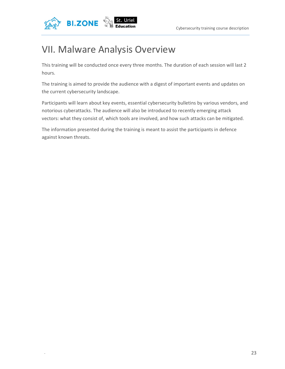

## VII. Malware Analysis Overview

This training will be conducted once every three months. The duration of each session will last 2 hours.

The training is aimed to provide the audience with a digest of important events and updates on the current cybersecurity landscape.

Participants will learn about key events, essential cybersecurity bulletins by various vendors, and notorious cyberattacks. The audience will also be introduced to recently emerging attack vectors: what they consist of, which tools are involved, and how such attacks can be mitigated.

The information presented during the training is meant to assist the participants in defence against known threats.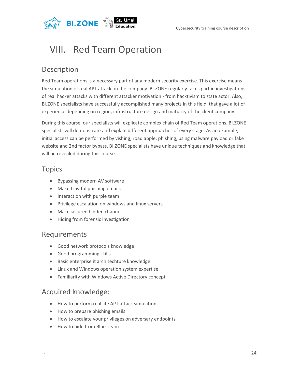

## VIII. Red Team Operation

## Description

Red Team operations is a necessary part of any modern security exercise. This exercise means the simulation of real APT attack on the company. BI.ZONE regularly takes part in investigations of real hacker attacks with different attacker motivation - from hacktivism to state actor. Also, BI.ZONE specialists have successfully accomplished many projects in this field, that gave a lot of experience depending on region, infrastructure design and maturity of the client company.

During this course, our specialists will explicate complex chain of Red Team operations. BI.ZONE specialists will demonstrate and explain different approaches of every stage. As an example, initial access can be performed by vishing, road apple, phishing, using malware payload or fake website and 2nd factor bypass. BI.ZONE specialists have unique techniques and knowledge that will be revealed during this course.

### Topics

- Bypassing modern AV software
- Make trustful phishing emails
- Interaction with purple team
- Privilege escalation on windows and linux servers
- Make secured hidden channel
- Hiding from forensic investigation

#### Requirements

- Good network protocols knowledge
- Good programming skills
- Basic enterprise it architechture knowledge
- Linux and Windows operation system expertise
- Familiarity with Windows Active Directory concept

### Acquired knowledge:

- How to perform real life APT attack simulations
- How to prepare phishing emails
- How to escalate your privileges on adversary endpoints
- How to hide from Blue Team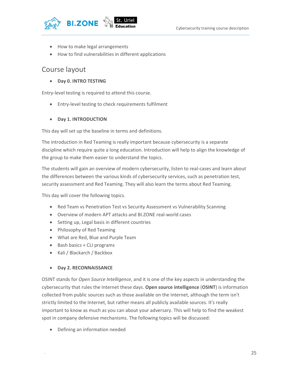

- How to make legal arrangements
- How to find vulnerabilities in different applications

#### Course layout

Day 0. INTRO TESTING

Entry-level testing is required to attend this course.

Entry-level testing to check requirements fulfilment

#### Day 1. INTRODUCTION

This day will set up the baseline in terms and definitions.

The introduction in Red Teaming is really important because cybersecurity is a separate discipline which require quite a long education. Introduction will help to align the knowledge of the group to make them easier to understand the topics.

The students will gain an overview of modern cybersecurity, listen to real-cases and learn about the differences between the various kinds of cybersecurity services, such as penetration test, security assessment and Red Teaming. They will also learn the terms about Red Teaming.

This day will cover the following topics.

- Red Team vs Penetration Test vs Security Assessment vs Vulnerability Scanning
- Overview of modern APT attacks and BI.ZONE real-world cases
- Setting up, Legal basis in different countries
- Philosophy of Red Teaming
- What are Red, Blue and Purple Team
- $\bullet$  Bash basics + CLI programs
- Kali / Blackarch / Backbox

#### Day 2. RECONNAISSANCE

OSINT stands for Open Source Intelligence, and it is one of the key aspects in understanding the cybersecurity that rules the Internet these days. Open source intelligence (OSINT) is information collected from public sources such as those available on the Internet, although the term isn't strictly limited to the Internet, but rather means all publicly available sources. It's really important to know as much as you can about your adversary. This will help to find the weakest spot in company defensive mechanisms. The following topics will be discussed:

Defining an information needed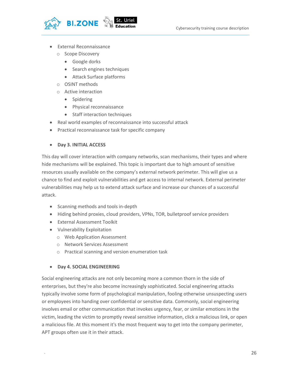

- External Reconnaissance
	- o Scope Discovery
		- Google dorks
		- Search engines techniques
		- Attack Surface platforms
	- o OSINT methods
	- o Active interaction
		- Spidering
		- Physical reconnaissance
		- Staff interaction techniques
- Real world examples of reconnaissance into successful attack
- Practical reconnaissance task for specific company
- Day 3. INITIAL ACCESS

This day will cover interaction with company networks, scan mechanisms, their types and where hide mechanisms will be explained. This topic is important due to high amount of sensitive resources usually available on the company's external network perimeter. This will give us a chance to find and exploit vulnerabilities and get access to internal network. External perimeter vulnerabilities may help us to extend attack surface and increase our chances of a successful attack.

- Scanning methods and tools in-depth
- Hiding behind proxies, cloud providers, VPNs, TOR, bulletproof service providers
- External Assessment Toolkit
- Vulnerability Exploitation
	- o Web Application Assessment
	- o Network Services Assessment
	- o Practical scanning and version enumeration task
- Day 4. SOCIAL ENGINEERING

Social engineering attacks are not only becoming more a common thorn in the side of enterprises, but they're also become increasingly sophisticated. Social engineering attacks typically involve some form of psychological manipulation, fooling otherwise unsuspecting users or employees into handing over confidential or sensitive data. Commonly, social engineering involves email or other communication that invokes urgency, fear, or similar emotions in the victim, leading the victim to promptly reveal sensitive information, click a malicious link, or open a malicious file. At this moment it's the most frequent way to get into the company perimeter, APT groups often use it in their attack.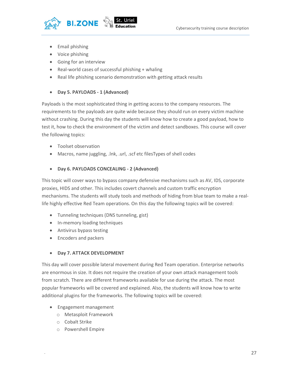

- Email phishing
- Voice phishing
- Going for an interview
- Real-world cases of successful phishing + whaling
- Real life phishing scenario demonstration with getting attack results

#### • Day 5. PAYLOADS - 1 (Advanced)

Payloads is the most sophisticated thing in getting access to the company resources. The requirements to the payloads are quite wide because they should run on every victim machine without crashing. During this day the students will know how to create a good payload, how to test it, how to check the environment of the victim and detect sandboxes. This course will cover the following topics:

- Toolset observation
- Macros, name juggling, .lnk, .url, .scf etc filesTypes of shell codes

#### Day 6. PAYLOADS CONCEALING - 2 (Advanced)

This topic will cover ways to bypass company defensive mechanisms such as AV, IDS, corporate proxies, HIDS and other. This includes covert channels and custom traffic encryption mechanisms. The students will study tools and methods of hiding from blue team to make a reallife highly effective Red Team operations. On this day the following topics will be covered:

- Tunneling techniques (DNS tunneling, gist)
- In-memory loading techniques
- Antivirus bypass testing
- Encoders and packers

#### Day 7. ATTACK DEVELOPMENT

This day will cover possible lateral movement during Red Team operation. Enterprise networks are enormous in size. It does not require the creation of your own attack management tools from scratch. There are different frameworks available for use during the attack. The most popular frameworks will be covered and explained. Also, the students will know how to write additional plugins for the frameworks. The following topics will be covered:

- Engagement management
	- o Metasploit Framework
	- o Cobalt Strike
	- o Powershell Empire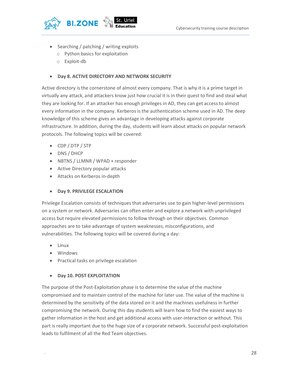

- Searching / patching / writing exploits
	- o Python basics for exploitation
	- o Exploit-db

#### Day 8. ACTIVE DIRECTORY AND NETWORK SECURITY

Active directory is the cornerstone of almost every company. That is why it is a prime target in virtually any attack, and attackers know just how crucial it is in their quest to find and steal what they are looking for. If an attacker has enough privileges in AD, they can get access to almost every information in the company. Kerberos is the authentication scheme used in AD. The deep knowledge of this scheme gives an advantage in developing attacks against corporate infrastructure. In addition, during the day, students will learn about attacks on popular network protocols. The following topics will be covered:

- CDP / DTP / STP
- DNS / DHCP
- NBTNS / LLMNR / WPAD + responder
- Active Directory popular attacks
- Attacks on Kerberos in-depth

#### Day 9. PRIVILEGE ESCALATION

Privilege Escalation consists of techniques that adversaries use to gain higher-level permissions on a system or network. Adversaries can often enter and explore a network with unprivileged access but require elevated permissions to follow through on their objectives. Common approaches are to take advantage of system weaknesses, misconfigurations, and vulnerabilities. The following topics will be covered during a day:

- Linux
- Windows
- Practical tasks on privilege escalation

#### Day 10. POST EXPLOITATION

The purpose of the Post-Exploitation phase is to determine the value of the machine compromised and to maintain control of the machine for later use. The value of the machine is determined by the sensitivity of the data stored on it and the machines usefulness in further compromising the network. During this day students will learn how to find the easiest ways to gather information in the host and get additional access with user-interaction or without. This part is really important due to the huge size of a corporate network. Successful post-exploitation leads to fulfilment of all the Red Team objectives.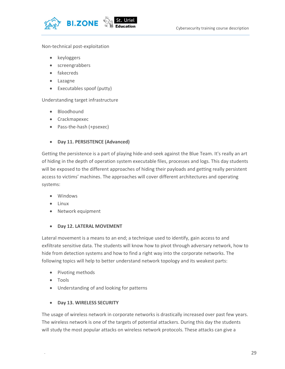

#### Non-technical post-exploitation

- keyloggers
- screengrabbers
- fakecreds
- Lazagne
- Executables spoof (putty)

Understanding target infrastructure

- Bloodhound
- Crackmapexec
- Pass-the-hash (+psexec)

#### Day 11. PERSISTENCE (Advanced)

Getting the persistence is a part of playing hide-and-seek against the Blue Team. It's really an art of hiding in the depth of operation system executable files, processes and logs. This day students will be exposed to the different approaches of hiding their payloads and getting really persistent access to victims' machines. The approaches will cover different architectures and operating systems:

- Windows
- $\bullet$  linux
- Network equipment

#### Day 12. LATERAL MOVEMENT

Lateral movement is a means to an end; a technique used to identify, gain access to and exfiltrate sensitive data. The students will know how to pivot through adversary network, how to hide from detection systems and how to find a right way into the corporate networks. The following topics will help to better understand network topology and its weakest parts:

- Pivoting methods
- Tools
- Understanding of and looking for patterns

#### Day 13. WIRELESS SECURITY

The usage of wireless network in corporate networks is drastically increased over past few years. The wireless network is one of the targets of potential attackers. During this day the students will study the most popular attacks on wireless network protocols. These attacks can give a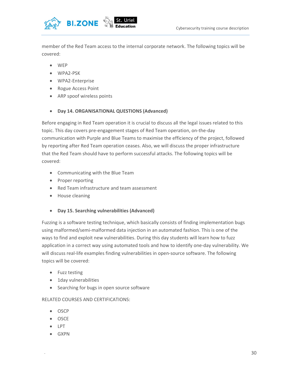

member of the Red Team access to the internal corporate network. The following topics will be covered:

- WEP
- WPA2-PSK
- WPA2-Enterprise
- Rogue Access Point
- ARP spoof wireless points

#### Day 14. ORGANISATIONAL QUESTIONS (Advanced)

Before engaging in Red Team operation it is crucial to discuss all the legal issues related to this topic. This day covers pre-engagement stages of Red Team operation, on-the-day communication with Purple and Blue Teams to maximise the efficiency of the project, followed by reporting after Red Team operation ceases. Also, we will discuss the proper infrastructure that the Red Team should have to perform successful attacks. The following topics will be covered:

- Communicating with the Blue Team
- Proper reporting
- Red Team infrastructure and team assessment
- House cleaning
- Day 15. Searching vulnerabilities (Advanced)

Fuzzing is a software testing technique, which basically consists of finding implementation bugs using malformed/semi-malformed data injection in an automated fashion. This is one of the ways to find and exploit new vulnerabilities. During this day students will learn how to fuzz application in a correct way using automated tools and how to identify one-day vulnerability. We will discuss real-life examples finding vulnerabilities in open-source software. The following topics will be covered:

- Fuzz testing
- **•** 1day vulnerabilities
- Searching for bugs in open source software

#### RELATED COURSES AND CERTIFICATIONS:

- $\bullet$  OSCP
- OSCE
- LPT
- GXPN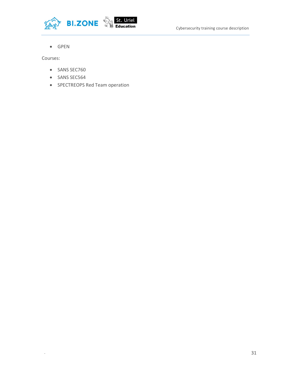



• GPEN

Courses:

- SANS SEC760
- SANS SEC564
- SPECTREOPS Red Team operation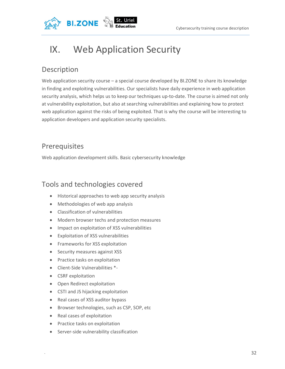

## IX. Web Application Security

## Description

Web application security course – a special course developed by BI.ZONE to share its knowledge in finding and exploiting vulnerabilities. Our specialists have daily experience in web application security analysis, which helps us to keep our techniques up-to-date. The course is aimed not only at vulnerability exploitation, but also at searching vulnerabilities and explaining how to protect web application against the risks of being exploited. That is why the course will be interesting to application developers and application security specialists.

### Prerequisites

Web application development skills. Basic cybersecurity knowledge

### Tools and technologies covered

- Historical approaches to web app security analysis
- Methodologies of web app analysis
- Classification of vulnerabilities
- Modern browser techs and protection measures
- Impact on exploitation of XSS vulnerabilities
- Exploitation of XSS vulnerabilities
- Frameworks for XSS exploitation
- Security measures against XSS
- Practice tasks on exploitation
- Client-Side Vulnerabilities \*-
- CSRF exploitation
- Open Redirect exploitation
- CSTI and JS hijacking exploitation
- Real cases of XSS auditor bypass
- **Browser technologies, such as CSP, SOP, etc**
- Real cases of exploitation
- Practice tasks on exploitation
- Server-side vulnerability classification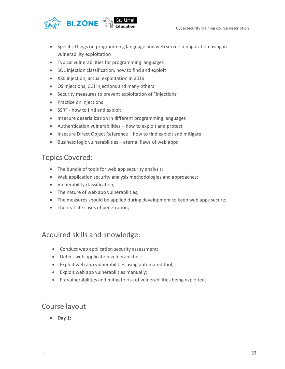

- Specific things on programming language and web server configuration using in vulnerability exploitation
- Typical vulnerabilities for programming languages
- SQL injection classification, how to find and exploit
- XXE injection, actual exploitation in 2019
- OS injections, CGI injections and many others
- Security measures to prevent exploitation of "injections"
- Practice on injections
- SSRF how to find and exploit
- Insecure deserialization in different programming languages
- Authentication vulnerabilities how to exploit and protect
- Insecure Direct Object Reference how to find exploit and mitigate
- Business logic vulnerabilities eternal flaws of web apps

#### Topics Covered:

- The bundle of tools for web app security analysis;
- Web application security analysis methodologies and approaches;
- Vulnerability classification;
- The nature of web app vulnerabilities;
- The measures should be applied during development to keep web apps secure;
- The real-life cases of penetration;

#### Acquired skills and knowledge:

- Conduct web application security assessment;
- Detect web application vulnerabilities;
- Exploit web app vulnerabilities using automated tool;
- Exploit web app vulnerabilities manually;
- Fix vulnerabilities and mitigate risk of vulnerabilities being exploited.

#### Course layout

 $\bullet$  Day 1: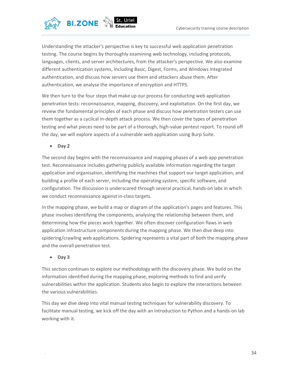

Understanding the attacker's perspective is key to successful web application penetration testing. The course begins by thoroughly examining web technology, including protocols, languages, clients, and server architectures, from the attacker's perspective. We also examine different authentication systems, including Basic, Digest, Forms, and Windows Integrated authentication, and discuss how servers use them and attackers abuse them. After authentication, we analyse the importance of encryption and HTTPS.

We then turn to the four steps that make up our process for conducting web application penetration tests: reconnaissance, mapping, discovery, and exploitation. On the first day, we review the fundamental principles of each phase and discuss how penetration testers can use them together as a cyclical in-depth attack process. We then cover the types of penetration testing and what pieces need to be part of a thorough, high-value pentest report. To round off the day, we will explore aspects of a vulnerable web application using Burp Suite.

 $\bullet$  Day 2

The second day begins with the reconnaissance and mapping phases of a web app penetration test. Reconnaissance includes gathering publicly available information regarding the target application and organisation, identifying the machines that support our target application, and building a profile of each server, including the operating system, specific software, and configuration. The discussion is underscored through several practical, hands-on labs in which we conduct reconnaissance against in-class targets.

In the mapping phase, we build a map or diagram of the application's pages and features. This phase involves identifying the components, analysing the relationship between them, and determining how the pieces work together. We often discover configuration flaws in web application infrastructure components during the mapping phase. We then dive deep into spidering/crawling web applications. Spidering represents a vital part of both the mapping phase and the overall penetration test.

• Day 3

This section continues to explore our methodology with the discovery phase. We build on the information identified during the mapping phase, exploring methods to find and verify vulnerabilities within the application. Students also begin to explore the interactions between the various vulnerabilities.

This day we dive deep into vital manual testing techniques for vulnerability discovery. To facilitate manual testing, we kick off the day with an introduction to Python and a hands-on lab working with it.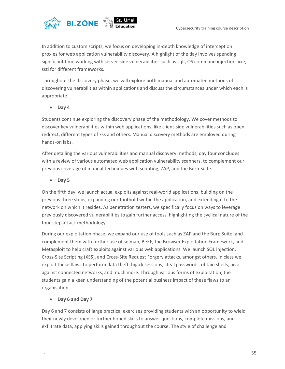

In addition to custom scripts, we focus on developing in-depth knowledge of interception proxies for web application vulnerability discovery. A highlight of the day involves spending significant time working with server-side vulnerabilities such as sqlI, OS command injection, xxe, ssti for different frameworks.

Throughout the discovery phase, we will explore both manual and automated methods of discovering vulnerabilities within applications and discuss the circumstances under which each is appropriate.

 $\bullet$  Day 4

Students continue exploring the discovery phase of the methodology. We cover methods to discover key vulnerabilities within web applications, like client-side vulnerabilities such as open redirect, different types of xss and others. Manual discovery methods are employed during hands-on labs.

After detailing the various vulnerabilities and manual discovery methods, day four concludes with a review of various automated web application vulnerability scanners, to complement our previous coverage of manual techniques with scripting, ZAP, and the Burp Suite.

 $\bullet$  Day 5

On the fifth day, we launch actual exploits against real-world applications, building on the previous three steps, expanding our foothold within the application, and extending it to the network on which it resides. As penetration testers, we specifically focus on ways to leverage previously discovered vulnerabilities to gain further access, highlighting the cyclical nature of the four-step attack methodology.

During our exploitation phase, we expand our use of tools such as ZAP and the Burp Suite, and complement them with further use of sqlmap, BeEF, the Browser Exploitation Framework, and Metasploit to help craft exploits against various web applications. We launch SQL injection, Cross-Site Scripting (XSS), and Cross-Site Request Forgery attacks, amongst others. In class we exploit these flaws to perform data theft, hijack sessions, steal passwords, obtain shells, pivot against connected networks, and much more. Through various forms of exploitation, the students gain a keen understanding of the potential business impact of these flaws to an organisation.

Day 6 and Day 7

Day 6 and 7 consists of large practical exercises providing students with an opportunity to wield their newly developed or further honed skills to answer questions, complete missions, and exfiltrate data, applying skills gained throughout the course. The style of challenge and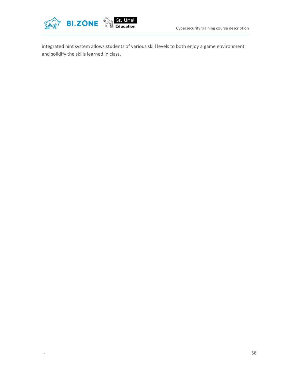

integrated hint system allows students of various skill levels to both enjoy a game environment and solidify the skills learned in class.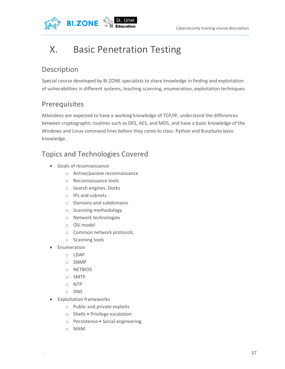

## X. Basic Penetration Testing

## Description

Special course developed by BI.ZONE specialists to share knowledge in finding and exploitation of vulnerabilities in different systems, teaching scanning, enumeration, exploitation techniques.

## Prerequisites

Attendees are expected to have a working knowledge of TCP/IP, understand the differences between cryptographic routines such as DES, AES, and MD5, and have a basic knowledge of the Windows and Linux command lines before they come to class. Python and BurpSuite basic knowledge.

## Topics and Technologies Covered

- Goals of reconnaissance
	- o Active/passive reconnaissance
	- o Reconnaissance tools
	- o Search engines. Dorks
	- o IPs and subnets
	- o Domains and subdomains
	- o Scanning methodology
	- o Network technologies
	- o OSI model
	- o Common network protocols
	- o Scanning tools
- Enumeration
	- o LDAP
	- o SNMP
	- o NETBIOS
	- o SMTP
	- o NTP
	- o DNS
- Exploitation frameworks
	- o Public and private exploits
	- o Shells Privilege escalation
	- o Persistence Social engineering
	- o MitM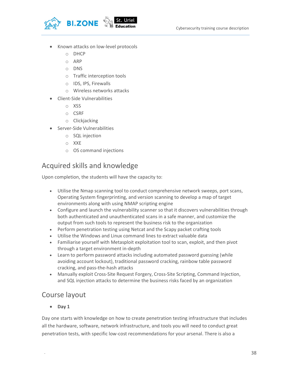

- Known attacks on low-level protocols
	- o DHCP
	- o ARP
	- o DNS
	- o Traffic interception tools
	- o IDS, IPS, Firewalls
	- o Wireless networks attacks
- Client-Side Vulnerabilities
	- o XSS
	- o CSRF
	- o Clickjacking
- **•** Server-Side Vulnerabilities
	- o SQL injection
	- o XXE
	- o OS command injections

### Acquired skills and knowledge

Upon completion, the students will have the capacity to:

- Utilise the Nmap scanning tool to conduct comprehensive network sweeps, port scans, Operating System fingerprinting, and version scanning to develop a map of target environments along with using NMAP scripting engine
- Configure and launch the vulnerability scanner so that it discovers vulnerabilities through both authenticated and unauthenticated scans in a safe manner, and customize the output from such tools to represent the business risk to the organization
- Perform penetration testing using Netcat and the Scapy packet crafting tools
- Utilise the Windows and Linux command lines to extract valuable data
- Familiarise yourself with Metasploit exploitation tool to scan, exploit, and then pivot through a target environment in-depth
- Learn to perform password attacks including automated password guessing (while avoiding account lockout), traditional password cracking, rainbow table password cracking, and pass-the-hash attacks
- Manually exploit Cross-Site Request Forgery, Cross-Site Scripting, Command Injection, and SQL injection attacks to determine the business risks faced by an organization

#### Course layout

• Day 1

Day one starts with knowledge on how to create penetration testing infrastructure that includes all the hardware, software, network infrastructure, and tools you will need to conduct great penetration tests, with specific low-cost recommendations for your arsenal. There is also a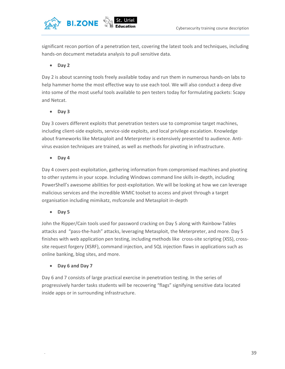

significant recon portion of a penetration test, covering the latest tools and techniques, including hands-on document metadata analysis to pull sensitive data.

#### • Day 2

Day 2 is about scanning tools freely available today and run them in numerous hands-on labs to help hammer home the most effective way to use each tool. We will also conduct a deep dive into some of the most useful tools available to pen testers today for formulating packets: Scapy and Netcat.

#### Day 3

Day 3 covers different exploits that penetration testers use to compromise target machines, including client-side exploits, service-side exploits, and local privilege escalation. Knowledge about frameworks like Metasploit and Meterpreter is extensively presented to audience. Antivirus evasion techniques are trained, as well as methods for pivoting in infrastructure.

• Day 4

Day 4 covers post-exploitation, gathering information from compromised machines and pivoting to other systems in your scope. Including Windows command line skills in-depth, including PowerShell's awesome abilities for post-exploitation. We will be looking at how we can leverage malicious services and the incredible WMIC toolset to access and pivot through a target organisation including mimikatz, msfconsile and Metasploit in-depth

• Day 5

John the Ripper/Cain tools used for password cracking on Day 5 along with Rainbow-Tables attacks and "pass-the-hash" attacks, leveraging Metasploit, the Meterpreter, and more. Day 5 finishes with web application pen testing, including methods like cross-site scripting (XSS), crosssite request forgery (XSRF), command injection, and SQL injection flaws in applications such as online banking, blog sites, and more.

Day 6 and Day 7

Day 6 and 7 consists of large practical exercise in penetration testing. In the series of progressively harder tasks students will be recovering "flags" signifying sensitive data located inside apps or in surrounding infrastructure.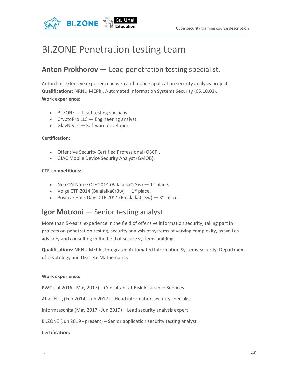

## BI.ZONE Penetration testing team

### Anton Prokhorov — Lead penetration testing specialist.

Anton has extensive experience in web and mobile application security analysis.projects Qualifications: NRNU MEPhI, Automated Information Systems Security (05.10.03). Work experience:

- BI.ZONE Lead testing specialist.
- CryptoPro LLC Engineering analyst.
- GlavNIVTs Software developer.

#### Certification:

- Offensive Security Certified Professional (OSCP).
- GIAC Mobile Device Security Analyst (GMOB).

#### CTF-competitions:

- No cON Name CTF 2014 (BalalaikaCr3w)  $-1^{st}$  place.
- Volga CTF 2014 (BalalaikaCr3w)  $-1$ <sup>st</sup> place.
- Positive Hack Days CTF 2014 (BalalaikaCr3w)  $-3$ <sup>rd</sup> place.

#### Igor Motroni — Senior testing analyst

More than 5-years' experience in the field of offensive information security, taking part in projects on penetration testing, security analysis of systems of varying complexity, as well as advisory and consulting in the field of secure systems building.

Qualifications: NRNU MEPhI, Integrated Automated Information Systems Security, Department of Cryptology and Discrete Mathematics.

#### Work experience:

PWC (Jul 2016 - May 2017) – Consultant at Risk Assurance Services

Atlas НТЦ (Feb 2014 - Jun 2017) – Head information security specialist

Informzaschita (May 2017 - Jun 2019) – Lead security analysis expert

BI.ZONE (Jun 2019 - present) – Senior application security testing analyst

#### Certification: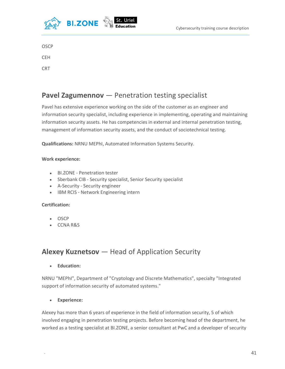

**OSCP** 

**CEH** CRT

## Pavel Zagumennov — Penetration testing specialist

Pavel has extensive experience working on the side of the customer as an engineer and information security specialist, including experience in implementing, operating and maintaining information security assets. He has competencies in external and internal penetration testing, management of information security assets, and the conduct of sociotechnical testing.

Qualifications: NRNU MEPhI, Automated Information Systems Security.

#### Work experience:

- BI.ZONE Penetration tester
- Sberbank CIB Security specialist, Senior Security specialist
- A-Security Security engineer
- IBM RCIS Network Engineering intern

#### Certification:

- **OSCP**
- CCNA R&S

### Alexey Kuznetsov — Head of Application Security

Education:

NRNU "MEPhI", Department of "Cryptology and Discrete Mathematics", specialty "Integrated support of information security of automated systems."

Experience:

Alexey has more than 6 years of experience in the field of information security, 5 of which involved engaging in penetration testing projects. Before becoming head of the department, he worked as a testing specialist at BI.ZONE, a senior consultant at PwC and a developer of security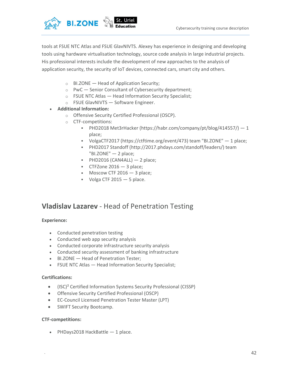

tools at FSUE NTC Atlas and FSUE GlavNIVTS. Alexey has experience in designing and developing tools using hardware virtualisation technology, source code analysis in large industrial projects. His professional interests include the development of new approaches to the analysis of application security, the security of IoT devices, connected cars, smart city and others.

- $\circ$  BI.ZONE Head of Application Security;
- o PwC Senior Consultant of Cybersecurity department;
- $\circ$  FSUE NTC Atlas  $-$  Head Information Security Specialist;
- o FSUE GlavNIVTS Software Engineer.
- Additional Information:
	- o Offensive Security Certified Professional (OSCP).
	- o CTF-competitions:
		- **PHD2018 Met3rHacker (https://habr.com/company/pt/blog/414557/)** 1 place;
		- VolgaCTF2017 (https://ctftime.org/event/473) team "BI.ZONE" 1 place;
		- PHD2017 Standoff (http://2017.phdays.com/standoff/leaders/) team "BI.ZONE" — 2 place;
		- $\blacksquare$  PHD2016 (CAN4ALL)  $-$  2 place;
		- CTFZone  $2016 3$  place;
		- $\blacksquare$  Moscow CTF 2016  $-$  3 place;
		- Volga CTF  $2015 5$  place.

#### Vladislav Lazarev - Head of Penetration Testing

#### Experience:

- Conducted penetration testing
- Conducted web app security analysis
- Conducted corporate infrastructure security analysis
- Conducted security assessment of banking infrastructure
- BI.ZONE Head of Penetration Tester;
- FSUE NTC Atlas Head Information Security Specialist;

#### Certifications:

- (ISC)² Certified Information Systems Security Professional (CISSP)
- Offensive Security Certified Professional (OSCP)
- EC-Council Licensed Penetration Tester Master (LPT)
- SWIFT Security Bootcamp.

#### CTF-competitions:

• PHDays2018 HackBattle  $-1$  place.